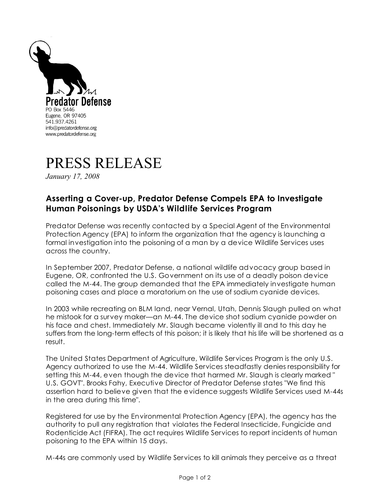



*January 17, 2008*

## **Asserting a Cover-up, Predator Defense Compels EPA to Investigate Human Poisonings by USDA's Wildlife Services Program**

Predator Defense was recently contacted by a Special Agent of the Environmental Protection Agency (EPA) to inform the organization that the agency is launching a formal investigation into the poisoning of a man by a device Wildlife Services uses across the country.

In September 2007, Predator Defense, a national wildlife advocacy group based in Eugene, OR, confronted the U.S. Government on its use of a deadly poison device called the M-44. The group demanded that the EPA immediately investigate human poisoning cases and place a moratorium on the use of sodium cyanide devices.

In 2003 while recreating on BLM land, near Vernal, Utah, Dennis Slaugh pulled on what he mistook for a survey maker—an M-44. The device shot sodium cyanide powder on his face and chest. Immediately Mr. Slaugh became violently ill and to this day he suffers from the long-term effects of this poison; it is likely that his life will be shortened as a result.

The United States Department of Agriculture, Wildlife Services Program is the only U.S. Agency authorized to use the M-44. Wildlife Services steadfastly denies responsibility for setting this M-44, even though the device that harmed Mr. Slaugh is clearly marked " U.S. GOVT". Brooks Fahy, Executive Director of Predator Defense states "We find this assertion hard to believe given that the evidence suggests Wildlife Services used M-44s in the area during this time".

Registered for use by the Environmental Protection Agency (EPA), the agency has the authority to pull any registration that violates the Federal Insecticide, Fungicide and Rodenticide Act (FIFRA). The act requires Wildlife Services to report incidents of human poisoning to the EPA within 15 days.

M-44s are commonly used by Wildlife Services to kill animals they perceive as a threat